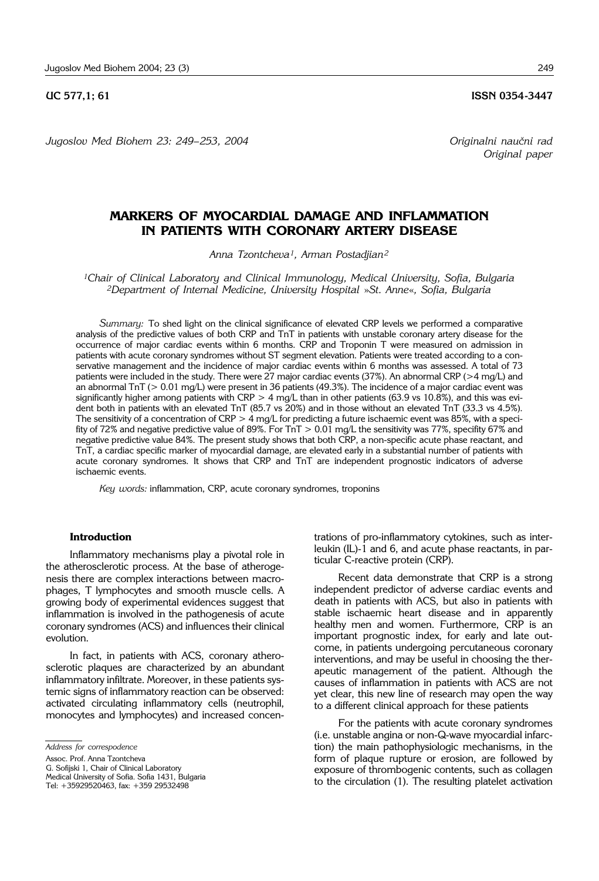**UC 577,1; 61 ISSN 0354-3447** 

*Original paper*

*Jugoslov Med Biohem 23: 249– 253, 2004 Originalni nau~ni rad*

# **MARKERS OF MYOCARDIAL DAMAGE AND INFLAMMATION IN PATIENTS WITH CORONARY ARTERY DISEASE**

*Anna Tzontcheva1, Arman Postadjian2*

*1Chair of Clinical Laboratory and Clinical Immunology, Medical University, Sofia, Bulgaria 2Department of Internal Medicine, University Hospital* »*St. Anne*«*, Sofia, Bulgaria*

*Summary:* To shed light on the clinical significance of elevated CRP levels we performed a comparative analysis of the predictive values of both CRP and TnT in patients with unstable coronary artery disease for the occurrence of major cardiac events within 6 months. CRP and Troponin T were measured on admission in patients with acute coronary syndromes without ST segment elevation. Patients were treated according to a conservative management and the incidence of major cardiac events within 6 months was assessed. A total of 73 patients were included in the study. There were 27 major cardiac events (37%). An abnormal CRP (>4 mg/L) and an abnormal TnT (> 0.01 mg/L) were present in 36 patients (49.3%). The incidence of a major cardiac event was significantly higher among patients with CRP  $> 4$  mg/L than in other patients (63.9 vs 10.8%), and this was evident both in patients with an elevated TnT (85.7 vs 20%) and in those without an elevated TnT (33.3 vs 4.5%). The sensitivity of a concentration of CRP  $>$  4 mg/L for predicting a future ischaemic event was 85%, with a specifity of 72% and negative predictive value of 89%. For TnT > 0.01 mg/L the sensitivity was 77%, specifity 67% and negative predictive value 84%. The present study shows that both CRP, a non-specific acute phase reactant, and TnT, a cardiac specific marker of myocardial damage, are elevated early in a substantial number of patients with acute coronary syndromes. It shows that CRP and TnT are independent prognostic indicators of adverse ischaemic events.

*Key words:* inflammation, CRP, acute coronary syndromes, troponins

#### **Introduction**

Inflammatory mechanisms play a pivotal role in the atherosclerotic process. At the base of atherogenesis there are complex interactions between macrophages, T lymphocytes and smooth muscle cells. A growing body of experimental evidences suggest that inflammation is involved in the pathogenesis of acute coronary syndromes (ACS) and influences their clinical evolution.

In fact, in patients with ACS, coronary atherosclerotic plaques are characterized by an abundant inflammatory infiltrate. Moreover, in these patients systemic signs of inflammatory reaction can be observed: activated circulating inflammatory cells (neutrophil, monocytes and lymphocytes) and increased concen-

Assoc. Prof. Anna Tzontcheva

G. Sofijski 1, Chair of Clinical Laboratory

trations of pro-inflammatory cytokines, such as interleukin (IL)-1 and 6, and acute phase reactants, in particular C-reactive protein (CRP).

Recent data demonstrate that CRP is a strong independent predictor of adverse cardiac events and death in patients with ACS, but also in patients with stable ischaemic heart disease and in apparently healthy men and women. Furthermore, CRP is an important prognostic index, for early and late outcome, in patients undergoing percutaneous coronary interventions, and may be useful in choosing the therapeutic management of the patient. Although the causes of inflammation in patients with ACS are not yet clear, this new line of research may open the way to a different clinical approach for these patients

For the patients with acute coronary syndromes (i.e. unstable angina or non-Q-wave myocardial infarction) the main pathophysiologic mechanisms, in the form of plaque rupture or erosion, are followed by exposure of thrombogenic contents, such as collagen to the circulation (1). The resulting platelet activation

*Address for correspodence*

Medical University of Sofia. Sofia 1431, Bulgaria Tel: +35929520463, fax: +359 29532498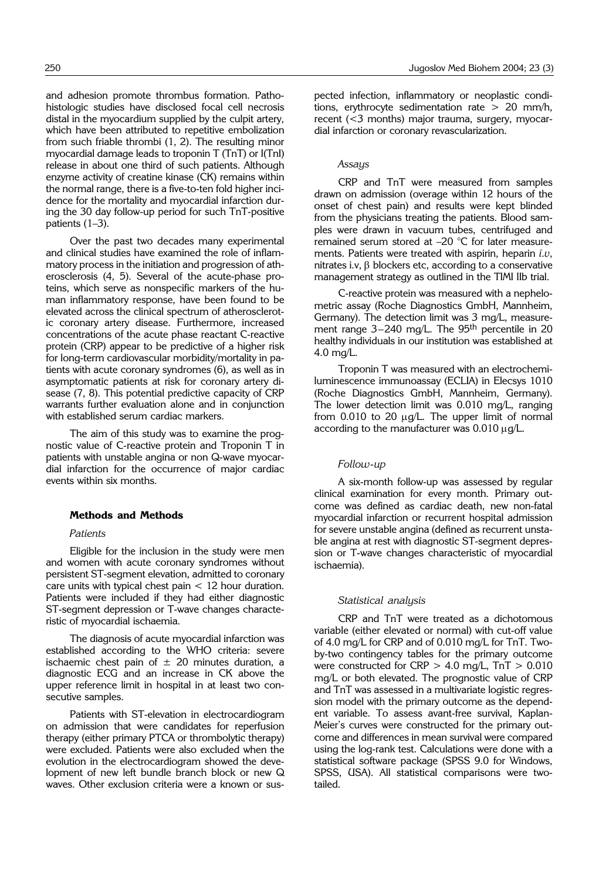and adhesion promote thrombus formation. Pathohistologic studies have disclosed focal cell necrosis distal in the myocardium supplied by the culpit artery, which have been attributed to repetitive embolization from such friable thrombi (1, 2). The resulting minor myocardial damage leads to troponin T (TnT) or I(TnI) release in about one third of such patients. Although enzyme activity of creatine kinase (CK) remains within the normal range, there is a five-to-ten fold higher incidence for the mortality and myocardial infarction during the 30 day follow-up period for such TnT-positive patients  $(1-3)$ .

Over the past two decades many experimental and clinical studies have examined the role of inflammatory process in the initiation and progression of atherosclerosis (4, 5). Several of the acute-phase proteins, which serve as nonspecific markers of the human inflammatory response, have been found to be elevated across the clinical spectrum of atherosclerotic coronary artery disease. Furthermore, increased concentrations of the acute phase reactant C-reactive protein (CRP) appear to be predictive of a higher risk for long-term cardiovascular morbidity/mortality in patients with acute coronary syndromes (6), as well as in asymptomatic patients at risk for coronary artery disease (7, 8). This potential predictive capacity of CRP warrants further evaluation alone and in conjunction with established serum cardiac markers.

The aim of this study was to examine the prognostic value of C-reactive protein and Troponin T in patients with unstable angina or non Q-wave myocardial infarction for the occurrence of major cardiac events within six months.

## **Methods and Methods**

#### *Patients*

Eligible for the inclusion in the study were men and women with acute coronary syndromes without persistent ST-segment elevation, admitted to coronary care units with typical chest pain < 12 hour duration. Patients were included if they had either diagnostic ST-segment depression or T-wave changes characteristic of myocardial ischaemia.

The diagnosis of acute myocardial infarction was established according to the WHO criteria: severe ischaemic chest pain of  $\pm$  20 minutes duration, a diagnostic ECG and an increase in CK above the upper reference limit in hospital in at least two consecutive samples.

Patients with ST-elevation in electrocardiogram on admission that were candidates for reperfusion therapy (either primary PTCA or thrombolytic therapy) were excluded. Patients were also excluded when the evolution in the electrocardiogram showed the development of new left bundle branch block or new Q waves. Other exclusion criteria were a known or sus-

pected infection, inflammatory or neoplastic conditions, erythrocyte sedimentation rate > 20 mm/h, recent (<3 months) major trauma, surgery, myocardial infarction or coronary revascularization.

## *Assays*

CRP and TnT were measured from samples drawn on admission (overage within 12 hours of the onset of chest pain) and results were kept blinded from the physicians treating the patients. Blood samples were drawn in vacuum tubes, centrifuged and remained serum stored at  $-20$  °C for later measurements. Patients were treated with aspirin, heparin *i.v*, nitrates i.v,  $\beta$  blockers etc, according to a conservative management strategy as outlined in the TIMI IIb trial.

C-reactive protein was measured with a nephelometric assay (Roche Diagnostics GmbH, Mannheim, Germany). The detection limit was 3 mg/L, measurement range 3-240 mg/L. The 95<sup>th</sup> percentile in 20 healthy individuals in our institution was established at 4.0 mg/L.

Troponin T was measured with an electrochemiluminescence immunoassay (ECLIA) in Elecsys 1010 (Roche Diagnostics GmbH, Mannheim, Germany). The lower detection limit was 0.010 mg/L, ranging from  $0.010$  to  $20 \mu q/L$ . The upper limit of normal according to the manufacturer was  $0.010 \mu q/L$ .

#### *Follow*-*up*

A six-month follow-up was assessed by regular clinical examination for every month. Primary outcome was defined as cardiac death, new non-fatal myocardial infarction or recurrent hospital admission for severe unstable angina (defined as recurrent unstable angina at rest with diagnostic ST-segment depression or T-wave changes characteristic of myocardial ischaemia).

## *Statistical analysis*

CRP and TnT were treated as a dichotomous variable (either elevated or normal) with cut-off value of 4.0 mg/L for CRP and of 0.010 mg/L for TnT. Twoby-two contingency tables for the primary outcome were constructed for CRP  $>$  4.0 mg/L, TnT  $>$  0.010 mg/L or both elevated. The prognostic value of CRP and TnT was assessed in a multivariate logistic regression model with the primary outcome as the dependent variable. To assess avant-free survival, Kaplan-Meier's curves were constructed for the primary outcome and differences in mean survival were compared using the log-rank test. Calculations were done with a statistical software package (SPSS 9.0 for Windows, SPSS, USA). All statistical comparisons were twotailed.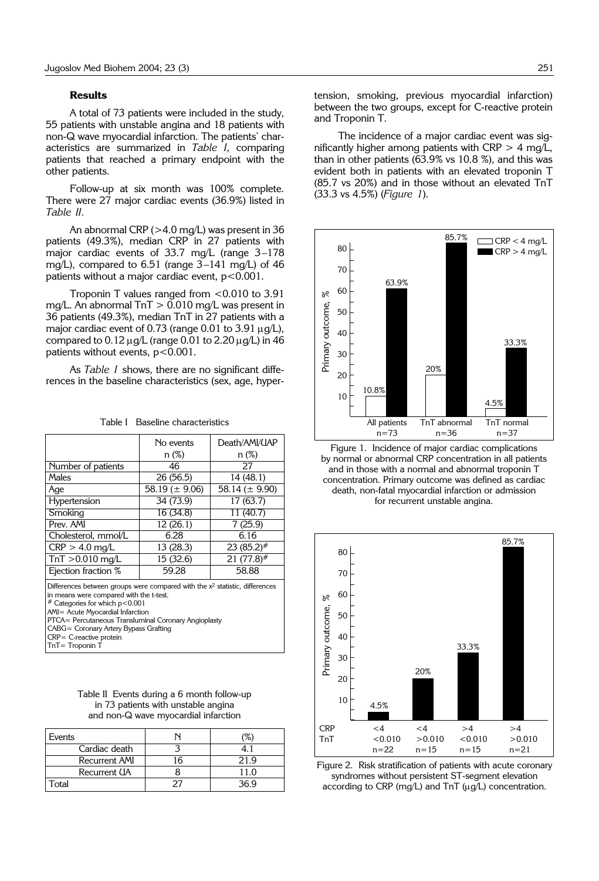#### **Results**

A total of 73 patients were included in the study, 55 patients with unstable angina and 18 patients with non-Q wave myocardial infarction. The patients' characteristics are summarized in *Table I*, comparing patients that reached a primary endpoint with the other patients.

Follow-up at six month was 100% complete. There were 27 major cardiac events (36.9%) listed in *Table II.*

An abnormal CRP (>4.0 mg/L) was present in 36 patients (49.3%), median CRP in 27 patients with major cardiac events of  $33.7$  mg/L (range  $3-178$ mg/L), compared to  $6.51$  (range  $3-141$  mg/L) of  $46$ patients without a major cardiac event, p<0.001.

Troponin T values ranged from <0.010 to 3.91 mg/L. An abnormal  $TnT > 0.010$  mg/L was present in 36 patients (49.3%), median TnT in 27 patients with a major cardiac event of 0.73 (range 0.01 to 3.91  $\mu$ g/L), compared to  $0.12 \mu g/L$  (range 0.01 to  $2.20 \mu g/L$ ) in 46 patients without events,  $p < 0.001$ .

As *Table I* shows, there are no significant differences in the baseline characteristics (sex, age, hyper-

|                                                                                                                                                                                                                                                                                                                                                              | No events           | Death/AMI/UAP       |  |  |  |
|--------------------------------------------------------------------------------------------------------------------------------------------------------------------------------------------------------------------------------------------------------------------------------------------------------------------------------------------------------------|---------------------|---------------------|--|--|--|
|                                                                                                                                                                                                                                                                                                                                                              | n (%)               | n (%)               |  |  |  |
| Number of patients                                                                                                                                                                                                                                                                                                                                           | 46                  | 27                  |  |  |  |
| Males                                                                                                                                                                                                                                                                                                                                                        | 26 (56.5)           | 14 (48.1)           |  |  |  |
| Age                                                                                                                                                                                                                                                                                                                                                          | 58.19 ( $\pm$ 9.06) | 58.14 ( $\pm$ 9.90) |  |  |  |
| Hypertension                                                                                                                                                                                                                                                                                                                                                 | 34 (73.9)           | 17 (63.7)           |  |  |  |
| Smoking                                                                                                                                                                                                                                                                                                                                                      | 16 (34.8)           | 11 (40.7)           |  |  |  |
| Prev. AMI                                                                                                                                                                                                                                                                                                                                                    | 12(26.1)            | 7(25.9)             |  |  |  |
| Cholesterol, mmol/L                                                                                                                                                                                                                                                                                                                                          | 6.28                | 6.16                |  |  |  |
| $CRP > 4.0$ mg/L                                                                                                                                                                                                                                                                                                                                             | 13 (28.3)           | 23 (85.2) $#$       |  |  |  |
| $TnT > 0.010$ mg/L                                                                                                                                                                                                                                                                                                                                           | 15 (32.6)           | $21 (77.8)^{\#}$    |  |  |  |
| Ejection fraction %                                                                                                                                                                                                                                                                                                                                          | 59.28               | 58.88               |  |  |  |
| Differences between groups were compared with the $x^2$ statistic, differences<br>in means were compared with the t-test.<br>$#$ Categories for which $p < 0.001$<br>AMI= Acute Myocardial Infarction<br>PTCA= Percutaneous Transluminal Coronary Angioplasty<br>CABG = Coronary Artery Bypass Grafting<br>$CRP = C$ -reactive protein<br>$TnT = Troponin T$ |                     |                     |  |  |  |

Table I Baseline characteristics

Table II Events during a 6 month follow-up in 73 patients with unstable angina and non-Q wave myocardial infarction

| Events               |    | %    |
|----------------------|----|------|
| Cardiac death        |    |      |
| <b>Recurrent AMI</b> | 16 | 21 Q |
| Recurrent UA         |    | 11.0 |
| `otal                |    | 36.9 |

tension, smoking, previous myocardial infarction) between the two groups, except for C-reactive protein and Troponin T.

The incidence of a major cardiac event was significantly higher among patients with CRP  $>$  4 mg/L, than in other patients (63.9% vs 10.8 %), and this was evident both in patients with an elevated troponin T (85.7 vs 20%) and in those without an elevated TnT (33.3 vs 4.5%) (*Figure 1*).



Figure 1. Incidence of major cardiac complications by normal or abnormal CRP concentration in all patients and in those with a normal and abnormal troponin T concentration. Primary outcome was defined as cardiac death, non-fatal myocardial infarction or admission for recurrent unstable angina.



Figure 2. Risk stratification of patients with acute coronary syndromes without persistent ST-segment elevation according to CRP ( $mq/L$ ) and TnT ( $uq/L$ ) concentration.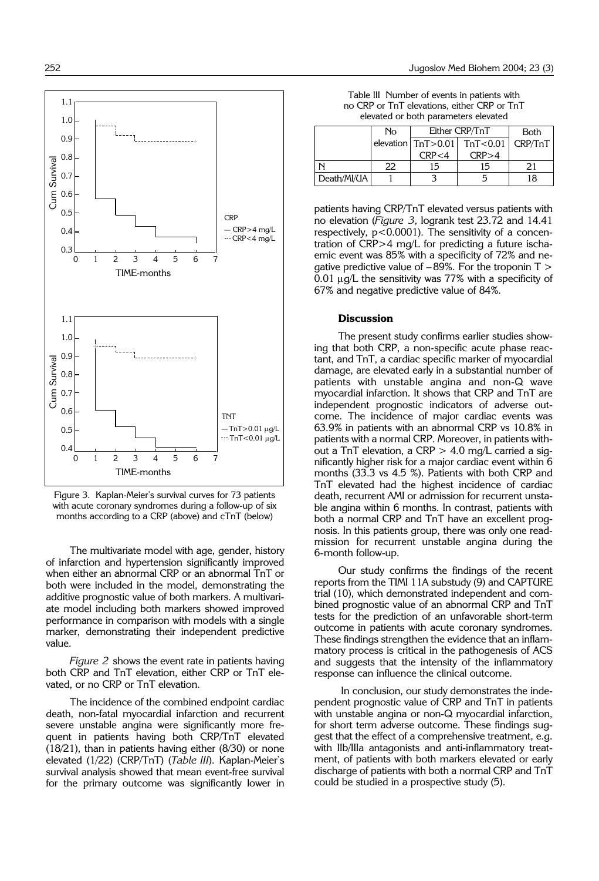

Figure 3. Kaplan-Meier's survival curves for 73 patients with acute coronary syndromes during a follow-up of six months according to a CRP (above) and cTnT (below)

The multivariate model with age, gender, history of infarction and hypertension significantly improved when either an abnormal CRP or an abnormal TnT or both were included in the model, demonstrating the additive prognostic value of both markers. A multivariate model including both markers showed improved performance in comparison with models with a single marker, demonstrating their independent predictive value.

*Figure 2* shows the event rate in patients having both CRP and TnT elevation, either CRP or TnT elevated, or no CRP or TnT elevation.

The incidence of the combined endpoint cardiac death, non-fatal myocardial infarction and recurrent severe unstable angina were significantly more frequent in patients having both CRP/TnT elevated (18/21), than in patients having either (8/30) or none elevated (1/22) (CRP/TnT) (*Table III*). Kaplan-Meier's survival analysis showed that mean event-free survival for the primary outcome was significantly lower in

Table III Number of events in patients with no CRP or TnT elevations, either CRP or TnT elevated or both parameters elevated

|             | No | Either CRP/TnT |                                         | <b>Both</b> |
|-------------|----|----------------|-----------------------------------------|-------------|
|             |    |                | elevation $TnT > 0.01$ TnT<0.01 CRP/TnT |             |
|             |    | CRP < 4        | CRP > 4                                 |             |
|             | 22 | 15             | 15                                      |             |
| Death/MI/UA |    |                |                                         | 18          |

patients having CRP/TnT elevated versus patients with no elevation (*Figure 3*, logrank test 23.72 and 14.41 respectively,  $p < 0.0001$ ). The sensitivity of a concentration of CRP>4 mg/L for predicting a future ischaemic event was 85% with a specificity of 72% and negative predictive value of  $-89\%$ . For the troponin T  $>$ 0.01  $\mu$ q/L the sensitivity was 77% with a specificity of 67% and negative predictive value of 84%.

## **Discussion**

The present study confirms earlier studies showing that both CRP, a non-specific acute phase reactant, and TnT, a cardiac specific marker of myocardial damage, are elevated early in a substantial number of patients with unstable angina and non-Q wave myocardial infarction. It shows that CRP and TnT are independent prognostic indicators of adverse outcome. The incidence of major cardiac events was 63.9% in patients with an abnormal CRP vs 10.8% in patients with a normal CRP. Moreover, in patients without a TnT elevation, a CRP  $>$  4.0 mg/L carried a significantly higher risk for a major cardiac event within 6 months (33.3 vs 4.5 %). Patients with both CRP and TnT elevated had the highest incidence of cardiac death, recurrent AMI or admission for recurrent unstable angina within 6 months. In contrast, patients with both a normal CRP and TnT have an excellent prognosis. In this patients group, there was only one readmission for recurrent unstable angina during the 6-month follow-up.

Our study confirms the findings of the recent reports from the TIMI 11A substudy (9) and CAPTURE trial (10), which demonstrated independent and combined prognostic value of an abnormal CRP and TnT tests for the prediction of an unfavorable short-term outcome in patients with acute coronary syndromes. These findings strengthen the evidence that an inflammatory process is critical in the pathogenesis of ACS and suggests that the intensity of the inflammatory response can influence the clinical outcome.

In conclusion, our study demonstrates the independent prognostic value of CRP and TnT in patients with unstable angina or non-Q myocardial infarction, for short term adverse outcome. These findings suggest that the effect of a comprehensive treatment, e.g. with IIb/IIIa antagonists and anti-inflammatory treatment, of patients with both markers elevated or early discharge of patients with both a normal CRP and TnT could be studied in a prospective study (5).